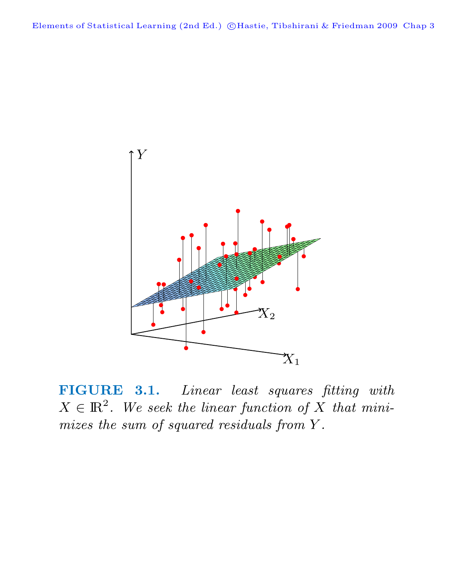Elements of Statistical Learning (2nd Ed.) ©Hastie, Tibshirani & Friedman 2009 Chap 3



**FIGURE 3.1.** Linear least squares fitting with  $X \in \mathbb{R}^2$ . We seek the linear function of X that minimizes the sum of squared residuals from Y .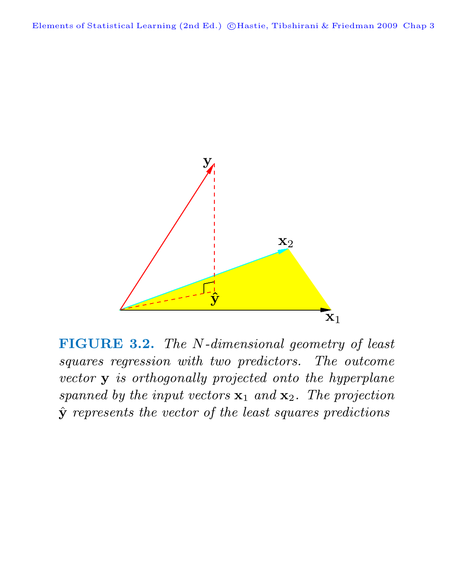

**FIGURE 3.2.** The N-dimensional geometry of least squares regression with two predictors. The outcome vector **y** is orthogonally projected onto the hyperplane spanned by the input vectors  $x_1$  and  $x_2$ . The projection **y**ˆ represents the vector of the least squares predictions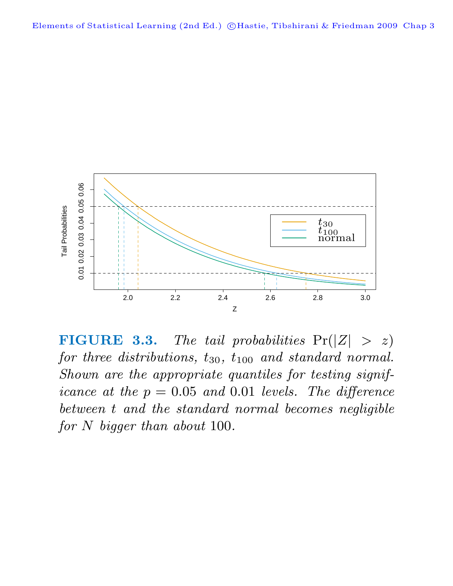

**FIGURE 3.3.** The tail probabilities  $Pr(|Z| > z)$ for three distributions,  $t_{30}$ ,  $t_{100}$  and standard normal. Shown are the appropriate quantiles for testing significance at the  $p = 0.05$  and 0.01 levels. The difference between t and the standard normal becomes negligible for N bigger than about 100.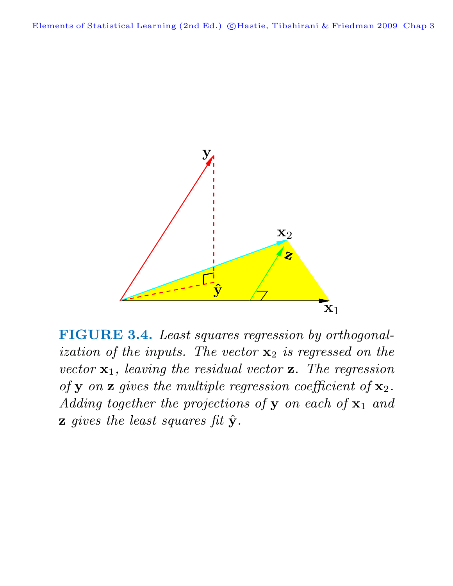

**FIGURE 3.4.** Least squares regression by orthogonalization of the inputs. The vector **x**<sup>2</sup> is regressed on the vector **x**1, leaving the residual vector **z**. The regression of **y** on **z** gives the multiple regression coefficient of **x**2. Adding together the projections of **y** on each of **x**<sup>1</sup> and **z** gives the least squares fit  $\hat{\mathbf{y}}$ .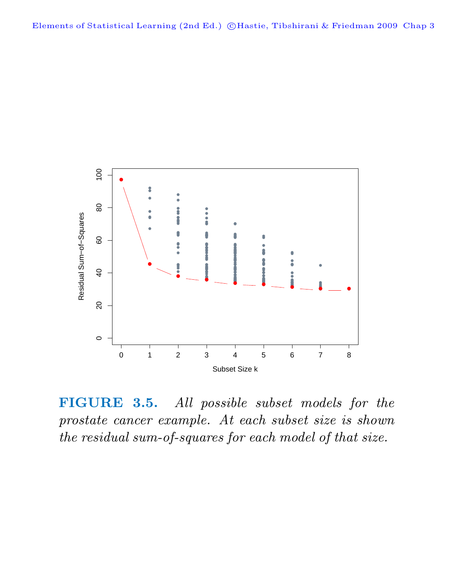

**FIGURE 3.5.** All possible subset models for the prostate cancer example. At each subset size is shown the residual sum-of-squares for each model of that size.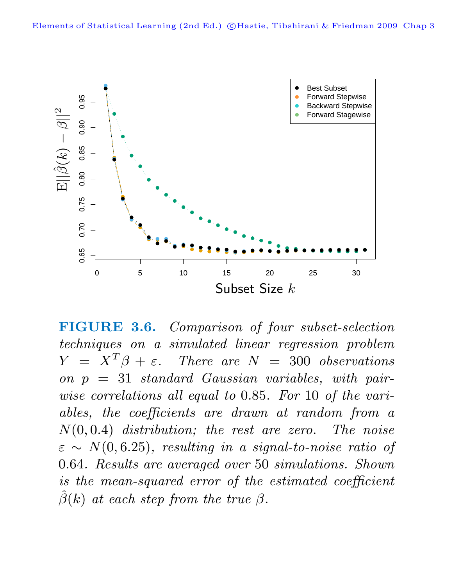

**FIGURE 3.6.** Comparison of four subset-selection techniques on a simulated linear regression problem  $Y = X^T \beta + \varepsilon$ . There are  $N = 300$  observations on  $p = 31$  standard Gaussian variables, with pairwise correlations all equal to 0.85. For 10 of the variables, the coefficients are drawn at random from a  $N(0, 0.4)$  distribution; the rest are zero. The noise  $\varepsilon \sim N(0, 6.25)$ , resulting in a signal-to-noise ratio of 0.64. Results are averaged over 50 simulations. Shown is the mean-squared error of the estimated coefficient  $\hat{\beta}(k)$  at each step from the true  $\beta$ .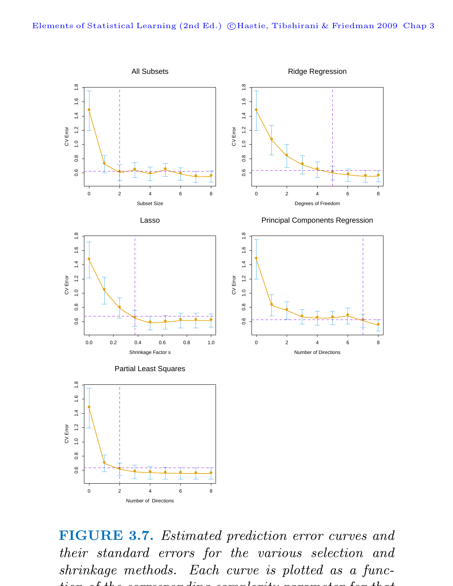

**FIGURE 3.7.** Estimated prediction error curves and their standard errors for the various selection and shrinkage methods. Each curve is plotted as a function of the corresponding complexity parameter for the complexity parameter for the complexity parameter for the  $I$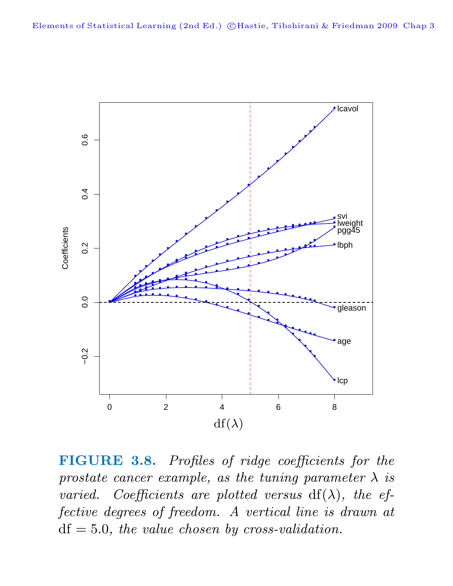

**FIGURE 3.8.** Profiles of ridge coefficients for the prostate cancer example, as the tuning parameter  $\lambda$  is varied. Coefficients are plotted versus  $df(\lambda)$ , the effective degrees of freedom. A vertical line is drawn at  $df = 5.0$ , the value chosen by cross-validation.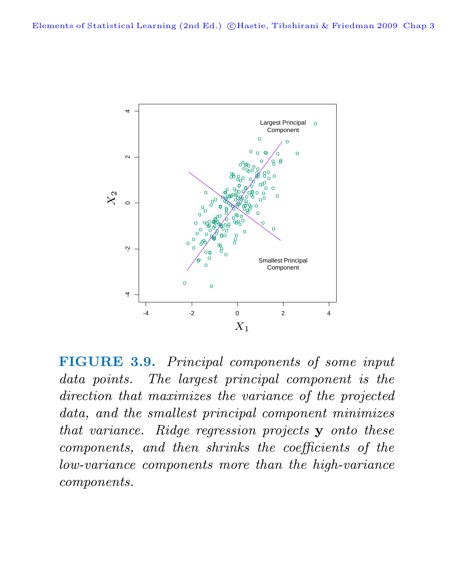

**FIGURE 3.9.** Principal components of some input data points. The largest principal component is the direction that maximizes the variance of the projected data, and the smallest principal component minimizes that variance. Ridge regression projects **y** onto these components, and then shrinks the coefficients of the low-variance components more than the high-variance components.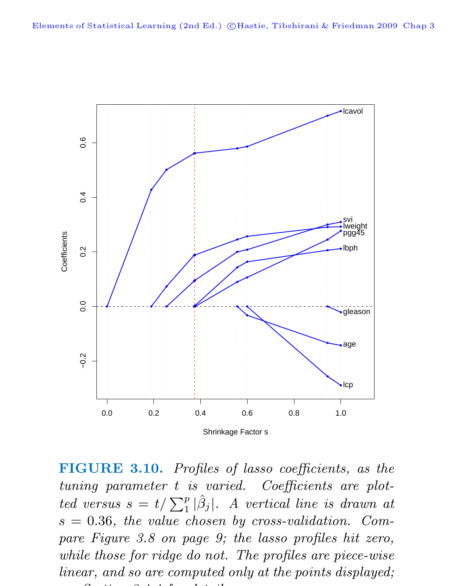

**FIGURE 3.10.** Profiles of lasso coefficients, as the tuning parameter t is varied. Coefficients are plotted versus  $s = t/\sum_{1}^{p} |\hat{\beta}_j|$ . A vertical line is drawn at  $s = 0.36$ , the value chosen by cross-validation. Compare Figure 3.8 on page 9; the lasso profiles hit zero, while those for ridge do not. The profiles are piece-wise linear, and so are computed only at the points displayed; S ti 3 4 4 f d t il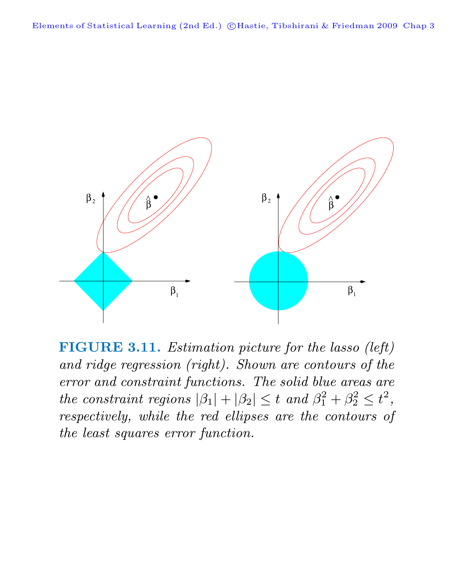

**FIGURE 3.11.** Estimation picture for the lasso (left) and ridge regression (right). Shown are contours of the error and constraint functions. The solid blue areas are the constraint regions  $|\beta_1| + |\beta_2| \leq t$  and  $\beta_1^2 + \beta_2^2 \leq t^2$ , respectively, while the red ellipses are the contours of the least squares error function.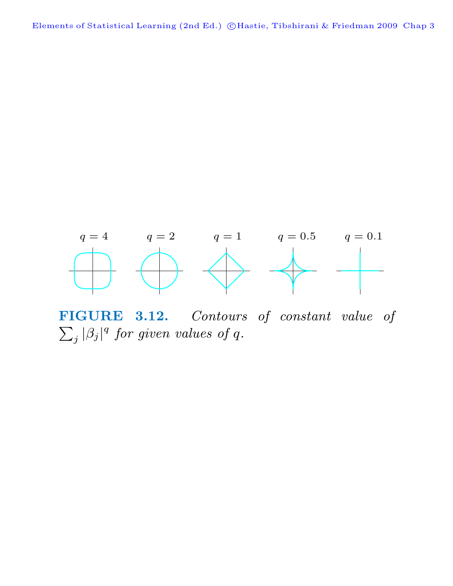

**FIGURE 3.12.** Contours of constant value of  $\overline{\nabla}$  $j |\beta_j|^q$  for given values of q.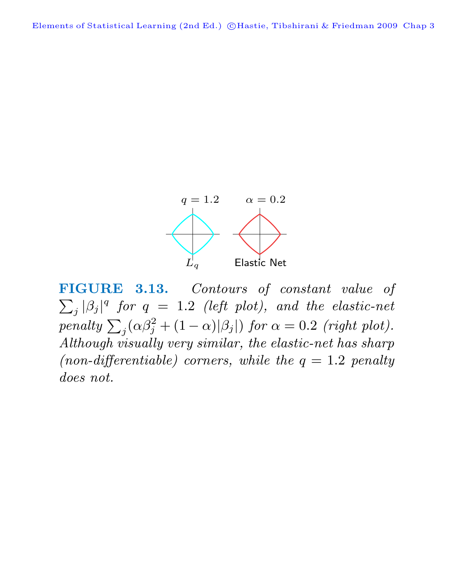Elements of Statistical Learning (2nd Ed.) ©Hastie, Tibshirani & Friedman 2009 Chap 3



**FIGURE 3.13.** Contours of constant value of  $\overline{\nabla}$  $j |\beta_j|^q$  for  $q = 1.2$  (left plot), and the elastic-net  $\text{penalty } \sum_j (\alpha \beta_j^2 + (1 - \alpha) |\beta_j|) \text{ for } \alpha = 0.2 \text{ (right plot)}.$ Although visually very similar, the elastic-net has sharp (non-differentiable) corners, while the  $q = 1.2$  penalty does not.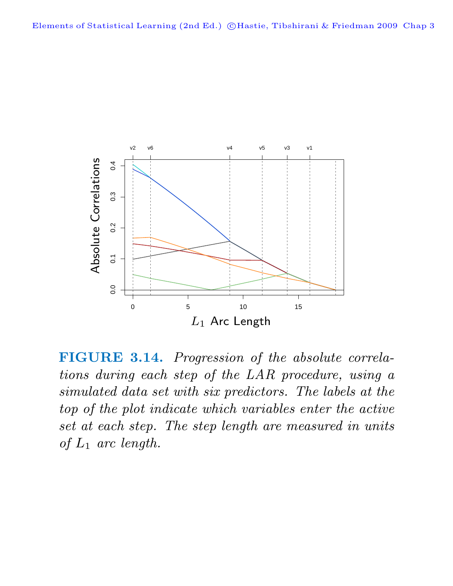

**FIGURE 3.14.** Progression of the absolute correlations during each step of the LAR procedure, using a simulated data set with six predictors. The labels at the top of the plot indicate which variables enter the active set at each step. The step length are measured in units of  $L_1$  arc length.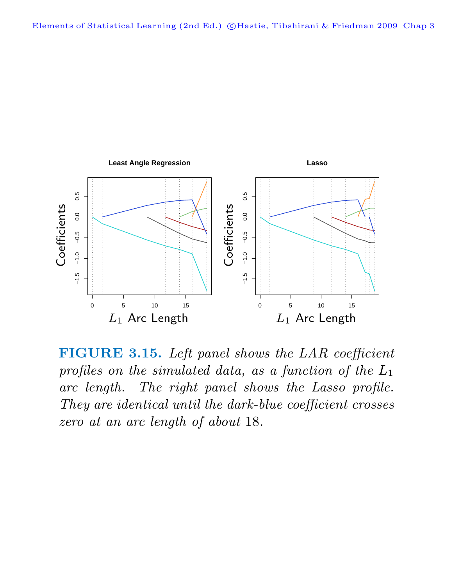

**FIGURE 3.15.** Left panel shows the LAR coefficient profiles on the simulated data, as a function of the  $L_1$ arc length. The right panel shows the Lasso profile. They are identical until the dark-blue coefficient crosses zero at an arc length of about 18.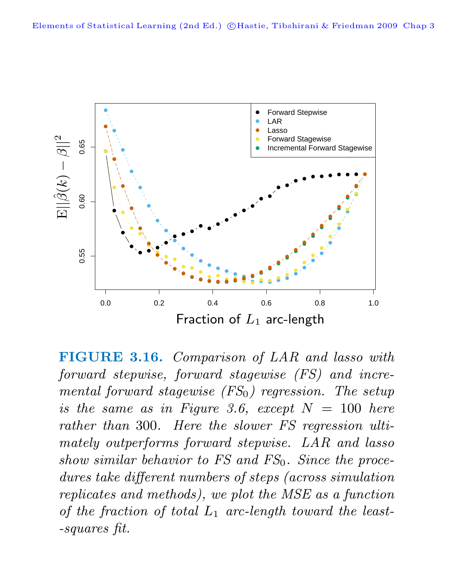

**FIGURE 3.16.** Comparison of LAR and lasso with forward stepwise, forward stagewise (FS) and incremental forward stagewise  $(FS_0)$  regression. The setup is the same as in Figure 3.6, except  $N = 100$  here rather than 300. Here the slower FS regression ultimately outperforms forward stepwise. LAR and lasso show similar behavior to  $FS$  and  $FS_0$ . Since the procedures take different numbers of steps (across simulation replicates and methods), we plot the MSE as a function of the fraction of total  $L_1$  arc-length toward the least--squares fit.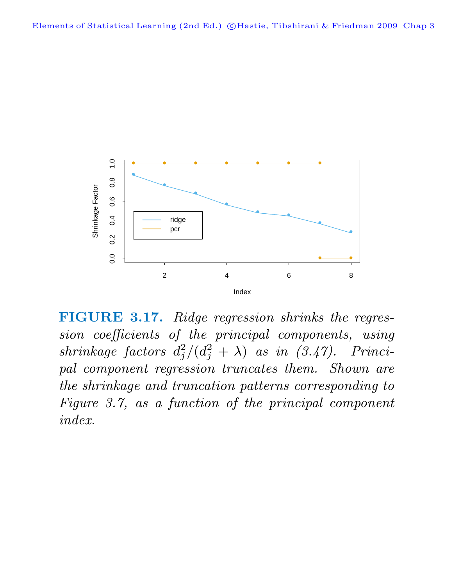

**FIGURE 3.17.** Ridge regression shrinks the regression coefficients of the principal components, using  $shrinkage \ factors \ d_j^2/(d_j^2 + \lambda) \ \ as \ \ in \ \ (3.47). \ \ \ Princi$ pal component regression truncates them. Shown are the shrinkage and truncation patterns corresponding to Figure 3.7, as a function of the principal component index.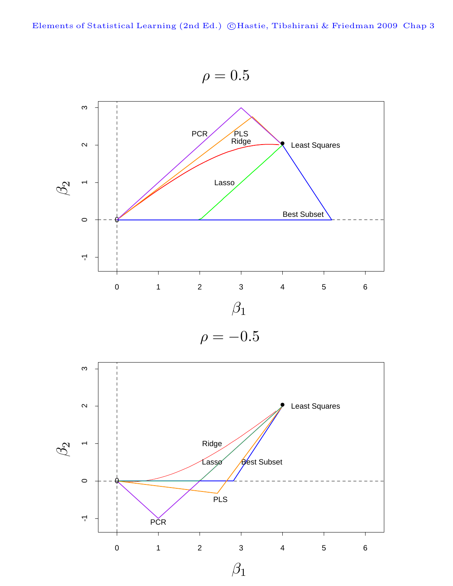$\rho = 0.5$ 



$$
\rho = -0.5
$$

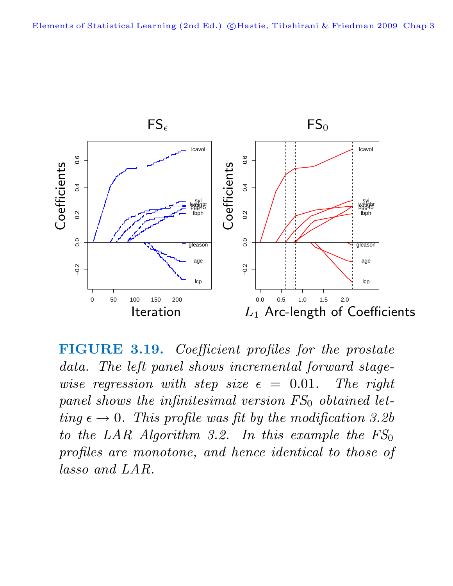

**FIGURE 3.19.** Coefficient profiles for the prostate data. The left panel shows incremental forward stagewise regression with step size  $\epsilon = 0.01$ . The right panel shows the infinitesimal version  $FS_0$  obtained letting  $\epsilon \to 0$ . This profile was fit by the modification 3.2b to the LAR Algorithm 3.2. In this example the  $FS_0$ profiles are monotone, and hence identical to those of lasso and LAR.